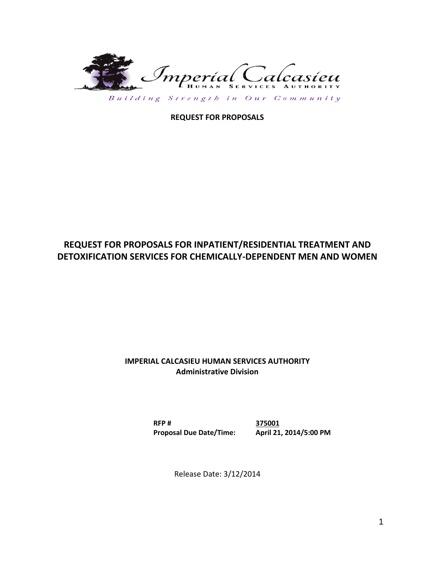

Building Strength in Our Community

**REQUEST FOR PROPOSALS**

# **REQUEST FOR PROPOSALS FOR INPATIENT/RESIDENTIAL TREATMENT AND DETOXIFICATION SERVICES FOR CHEMICALLY-DEPENDENT MEN AND WOMEN**

## **IMPERIAL CALCASIEU HUMAN SERVICES AUTHORITY Administrative Division**

**RFP # 375001 Proposal Due Date/Time: April 21, 2014/5:00 PM**

Release Date: 3/12/2014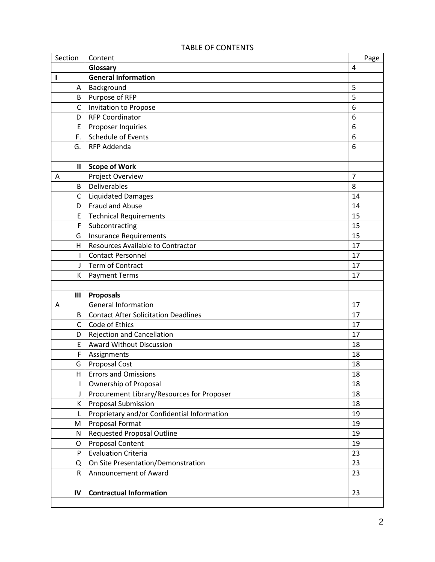| Section        | Content                                     | Page           |
|----------------|---------------------------------------------|----------------|
|                | Glossary                                    | 4              |
| ı              | <b>General Information</b>                  |                |
| Α              | Background                                  | 5              |
| B              | Purpose of RFP                              | 5              |
| $\mathsf{C}$   | Invitation to Propose                       | 6              |
| D              | <b>RFP Coordinator</b>                      | 6              |
| E              | Proposer Inquiries                          | 6              |
| F.             | Schedule of Events                          | 6              |
| G.             | RFP Addenda                                 | 6              |
|                |                                             |                |
| $\mathbf{II}$  | <b>Scope of Work</b>                        |                |
| A              | Project Overview                            | $\overline{7}$ |
| B              | <b>Deliverables</b>                         | 8              |
| $\mathsf{C}$   | <b>Liquidated Damages</b>                   | 14             |
| D              | <b>Fraud and Abuse</b>                      | 14             |
| E              | <b>Technical Requirements</b>               | 15             |
| F              | Subcontracting                              | 15             |
| G              | <b>Insurance Requirements</b>               | 15             |
| H              | Resources Available to Contractor           | 17             |
| $\mathbf{I}$   | <b>Contact Personnel</b>                    | 17             |
| J              | Term of Contract                            | 17             |
| К              | <b>Payment Terms</b>                        | 17             |
|                |                                             |                |
| $\mathbf{III}$ | <b>Proposals</b>                            |                |
| Α              | <b>General Information</b>                  | 17             |
| B              | <b>Contact After Solicitation Deadlines</b> | 17             |
| $\mathsf{C}$   | Code of Ethics                              | 17             |
| D              | <b>Rejection and Cancellation</b>           | 17             |
| E              | <b>Award Without Discussion</b>             | 18             |
| F              | Assignments                                 | 18             |
| G              | Proposal Cost                               | 18             |
| H,             | <b>Errors and Omissions</b>                 | 18             |
| I              | Ownership of Proposal                       | 18             |
| J              | Procurement Library/Resources for Proposer  | 18             |
| К              | <b>Proposal Submission</b>                  | 18             |
| Г              | Proprietary and/or Confidential Information | 19             |
| M              | Proposal Format                             | 19             |
| N              | <b>Requested Proposal Outline</b>           | 19             |
| $\mathsf O$    | <b>Proposal Content</b>                     | 19             |
| P              | <b>Evaluation Criteria</b>                  | 23             |
| Q              | On Site Presentation/Demonstration          | 23             |
| R              | Announcement of Award                       | 23             |
|                |                                             |                |
| IV             | <b>Contractual Information</b>              | 23             |
|                |                                             |                |

## TABLE OF CONTENTS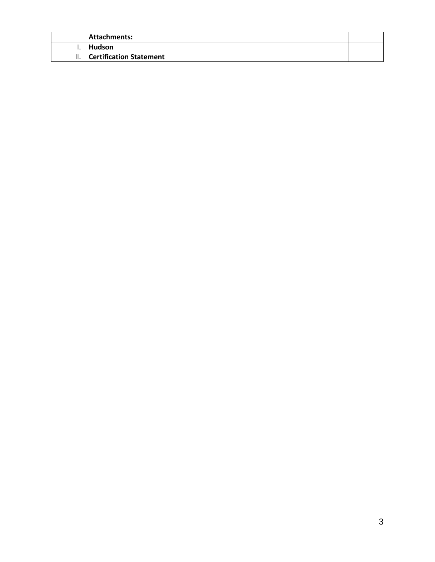| <b>Attachments:</b>            |  |
|--------------------------------|--|
| <b>Hudson</b>                  |  |
| <b>Certification Statement</b> |  |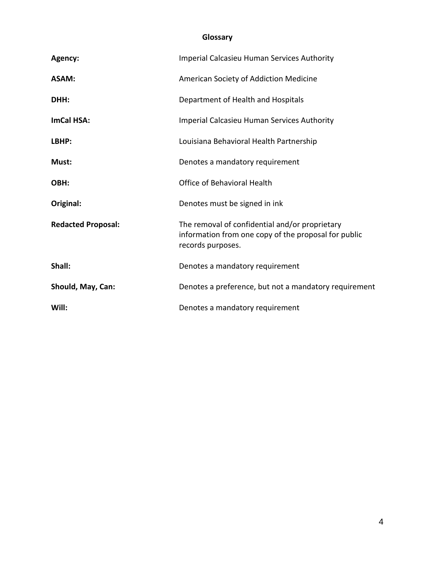# **Glossary**

| Agency:                   | Imperial Calcasieu Human Services Authority                                                                                 |
|---------------------------|-----------------------------------------------------------------------------------------------------------------------------|
| <b>ASAM:</b>              | American Society of Addiction Medicine                                                                                      |
| DHH:                      | Department of Health and Hospitals                                                                                          |
| ImCal HSA:                | <b>Imperial Calcasieu Human Services Authority</b>                                                                          |
| LBHP:                     | Louisiana Behavioral Health Partnership                                                                                     |
| Must:                     | Denotes a mandatory requirement                                                                                             |
| OBH:                      | Office of Behavioral Health                                                                                                 |
| Original:                 | Denotes must be signed in ink                                                                                               |
| <b>Redacted Proposal:</b> | The removal of confidential and/or proprietary<br>information from one copy of the proposal for public<br>records purposes. |
| Shall:                    | Denotes a mandatory requirement                                                                                             |
| Should, May, Can:         | Denotes a preference, but not a mandatory requirement                                                                       |
| Will:                     | Denotes a mandatory requirement                                                                                             |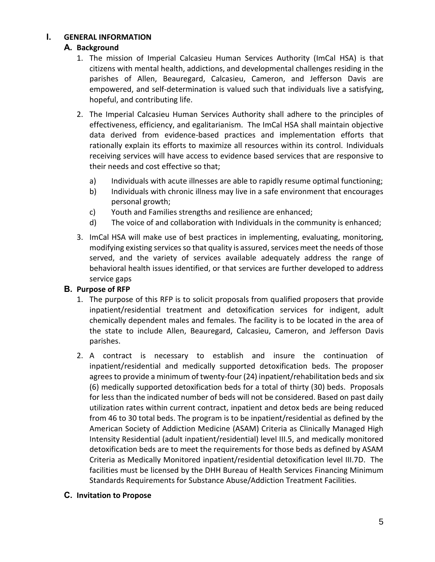## **I. GENERAL INFORMATION**

## **A. Background**

- 1. The mission of Imperial Calcasieu Human Services Authority (ImCal HSA) is that citizens with mental health, addictions, and developmental challenges residing in the parishes of Allen, Beauregard, Calcasieu, Cameron, and Jefferson Davis are empowered, and self-determination is valued such that individuals live a satisfying, hopeful, and contributing life.
- 2. The Imperial Calcasieu Human Services Authority shall adhere to the principles of effectiveness, efficiency, and egalitarianism. The ImCal HSA shall maintain objective data derived from evidence-based practices and implementation efforts that rationally explain its efforts to maximize all resources within its control. Individuals receiving services will have access to evidence based services that are responsive to their needs and cost effective so that;
	- a) Individuals with acute illnesses are able to rapidly resume optimal functioning;
	- b) Individuals with chronic illness may live in a safe environment that encourages personal growth;
	- c) Youth and Families strengths and resilience are enhanced;
	- d) The voice of and collaboration with Individuals in the community is enhanced;
- 3. ImCal HSA will make use of best practices in implementing, evaluating, monitoring, modifying existing services so that quality is assured, services meet the needs of those served, and the variety of services available adequately address the range of behavioral health issues identified, or that services are further developed to address service gaps

## **B. Purpose of RFP**

- 1. The purpose of this RFP is to solicit proposals from qualified proposers that provide inpatient/residential treatment and detoxification services for indigent, adult chemically dependent males and females. The facility is to be located in the area of the state to include Allen, Beauregard, Calcasieu, Cameron, and Jefferson Davis parishes.
- 2. A contract is necessary to establish and insure the continuation of inpatient/residential and medically supported detoxification beds. The proposer agrees to provide a minimum of twenty-four (24) inpatient/rehabilitation beds and six (6) medically supported detoxification beds for a total of thirty (30) beds. Proposals for less than the indicated number of beds will not be considered. Based on past daily utilization rates within current contract, inpatient and detox beds are being reduced from 46 to 30 total beds. The program is to be inpatient/residential as defined by the American Society of Addiction Medicine (ASAM) Criteria as Clinically Managed High Intensity Residential (adult inpatient/residential) level III.5, and medically monitored detoxification beds are to meet the requirements for those beds as defined by ASAM Criteria as Medically Monitored inpatient/residential detoxification level III.7D. The facilities must be licensed by the DHH Bureau of Health Services Financing Minimum Standards Requirements for Substance Abuse/Addiction Treatment Facilities.

## **C. Invitation to Propose**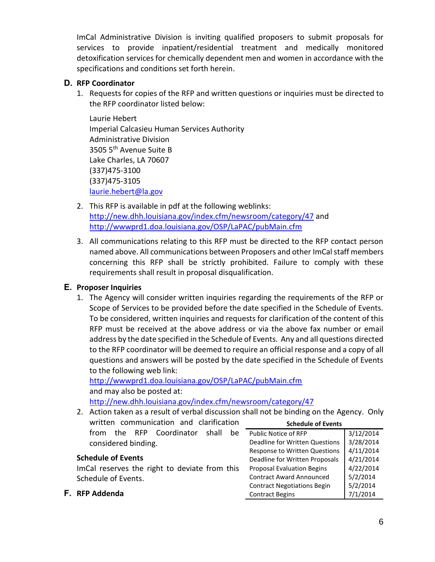ImCal Administrative Division is inviting qualified proposers to submit proposals for services to provide inpatient/residential treatment and medically monitored detoxification services for chemically dependent men and women in accordance with the specifications and conditions set forth herein.

## **D. RFP Coordinator**

1. Requests for copies of the RFP and written questions or inquiries must be directed to the RFP coordinator listed below:

Laurie Hebert Imperial Calcasieu Human Services Authority Administrative Division 3505 5th Avenue Suite B Lake Charles, LA 70607 (337)475-3100 (337)475-3105 [laurie.hebert@la.gov](mailto:laurie.hebert@la.gov)

- 2. This RFP is available in pdf at the following weblinks: <http://new.dhh.louisiana.gov/index.cfm/newsroom/category/47> and <http://wwwprd1.doa.louisiana.gov/OSP/LaPAC/pubMain.cfm>
- 3. All communications relating to this RFP must be directed to the RFP contact person named above. All communications between Proposers and other ImCal staff members concerning this RFP shall be strictly prohibited. Failure to comply with these requirements shall result in proposal disqualification.

# **E. Proposer Inquiries**

1. The Agency will consider written inquiries regarding the requirements of the RFP or Scope of Services to be provided before the date specified in the Schedule of Events. To be considered, written inquiries and requests for clarification of the content of this RFP must be received at the above address or via the above fax number or email address by the date specified in the Schedule of Events. Any and all questions directed to the RFP coordinator will be deemed to require an official response and a copy of all questions and answers will be posted by the date specified in the Schedule of Events to the following web link:

<http://wwwprd1.doa.louisiana.gov/OSP/LaPAC/pubMain.cfm> and may also be posted at:

<http://new.dhh.louisiana.gov/index.cfm/newsroom/category/47>

2. Action taken as a result of verbal discussion shall not be binding on the Agency. Only written communication and clarification from the RFP Coordinator shall be considered binding. **Schedule of Events** Public Notice of RFP | 3/12/2014 Deadline for Written Questions | 3/28/2014

## **Schedule of Events**

ImCal reserves the right to deviate from this Schedule of Events.

## **F. RFP Addenda**

| <b>Public Notice of RFP</b>        | 3/12/2014 |
|------------------------------------|-----------|
| Deadline for Written Questions     | 3/28/2014 |
| Response to Written Questions      | 4/11/2014 |
| Deadline for Written Proposals     | 4/21/2014 |
| <b>Proposal Evaluation Begins</b>  | 4/22/2014 |
| <b>Contract Award Announced</b>    | 5/2/2014  |
| <b>Contract Negotiations Begin</b> | 5/2/2014  |
| <b>Contract Begins</b>             | 7/1/2014  |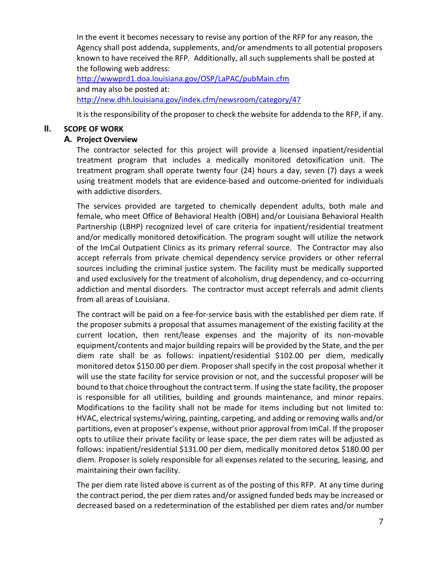In the event it becomes necessary to revise any portion of the RFP for any reason, the Agency shall post addenda, supplements, and/or amendments to all potential proposers known to have received the RFP. Additionally, all such supplements shall be posted at the following web address:

<http://wwwprd1.doa.louisiana.gov/OSP/LaPAC/pubMain.cfm> and may also be posted at: <http://new.dhh.louisiana.gov/index.cfm/newsroom/category/47>

It is the responsibility of the proposer to check the website for addenda to the RFP, if any.

## **II. SCOPE OF WORK**

## **A. Project Overview**

The contractor selected for this project will provide a licensed inpatient/residential treatment program that includes a medically monitored detoxification unit. The treatment program shall operate twenty four (24) hours a day, seven (7) days a week using treatment models that are evidence-based and outcome-oriented for individuals with addictive disorders.

The services provided are targeted to chemically dependent adults, both male and female, who meet Office of Behavioral Health (OBH) and/or Louisiana Behavioral Health Partnership (LBHP) recognized level of care criteria for inpatient/residential treatment and/or medically monitored detoxification. The program sought will utilize the network of the ImCal Outpatient Clinics as its primary referral source. The Contractor may also accept referrals from private chemical dependency service providers or other referral sources including the criminal justice system. The facility must be medically supported and used exclusively for the treatment of alcoholism, drug dependency, and co-occurring addiction and mental disorders. The contractor must accept referrals and admit clients from all areas of Louisiana.

The contract will be paid on a fee-for-service basis with the established per diem rate. If the proposer submits a proposal that assumes management of the existing facility at the current location, then rent/lease expenses and the majority of its non-movable equipment/contents and major building repairs will be provided by the State, and the per diem rate shall be as follows: inpatient/residential \$102.00 per diem, medically monitored detox \$150.00 per diem. Proposer shall specify in the cost proposal whether it will use the state facility for service provision or not, and the successful proposer will be bound to that choice throughout the contract term. If using the state facility, the proposer is responsible for all utilities, building and grounds maintenance, and minor repairs. Modifications to the facility shall not be made for items including but not limited to: HVAC, electrical systems/wiring, painting, carpeting, and adding or removing walls and/or partitions, even at proposer's expense, without prior approval from ImCal. If the proposer opts to utilize their private facility or lease space, the per diem rates will be adjusted as follows: inpatient/residential \$131.00 per diem, medically monitored detox \$180.00 per diem. Proposer is solely responsible for all expenses related to the securing, leasing, and maintaining their own facility.

The per diem rate listed above is current as of the posting of this RFP. At any time during the contract period, the per diem rates and/or assigned funded beds may be increased or decreased based on a redetermination of the established per diem rates and/or number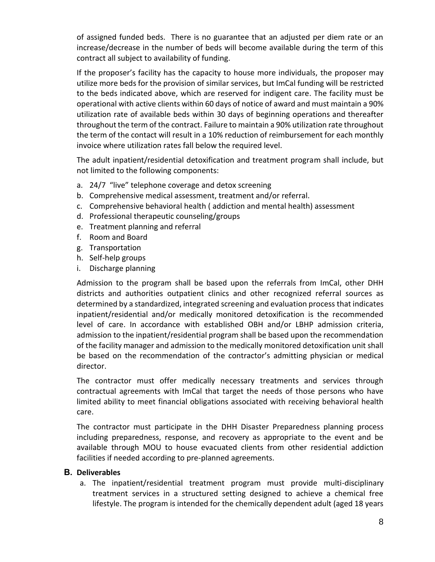of assigned funded beds. There is no guarantee that an adjusted per diem rate or an increase/decrease in the number of beds will become available during the term of this contract all subject to availability of funding.

If the proposer's facility has the capacity to house more individuals, the proposer may utilize more beds for the provision of similar services, but ImCal funding will be restricted to the beds indicated above, which are reserved for indigent care. The facility must be operational with active clients within 60 days of notice of award and must maintain a 90% utilization rate of available beds within 30 days of beginning operations and thereafter throughout the term of the contract. Failure to maintain a 90% utilization rate throughout the term of the contact will result in a 10% reduction of reimbursement for each monthly invoice where utilization rates fall below the required level.

The adult inpatient/residential detoxification and treatment program shall include, but not limited to the following components:

- a. 24/7 "live" telephone coverage and detox screening
- b. Comprehensive medical assessment, treatment and/or referral.
- c. Comprehensive behavioral health ( addiction and mental health) assessment
- d. Professional therapeutic counseling/groups
- e. Treatment planning and referral
- f. Room and Board
- g. Transportation
- h. Self-help groups
- i. Discharge planning

Admission to the program shall be based upon the referrals from ImCal, other DHH districts and authorities outpatient clinics and other recognized referral sources as determined by a standardized, integrated screening and evaluation process that indicates inpatient/residential and/or medically monitored detoxification is the recommended level of care. In accordance with established OBH and/or LBHP admission criteria, admission to the inpatient/residential program shall be based upon the recommendation of the facility manager and admission to the medically monitored detoxification unit shall be based on the recommendation of the contractor's admitting physician or medical director.

The contractor must offer medically necessary treatments and services through contractual agreements with ImCal that target the needs of those persons who have limited ability to meet financial obligations associated with receiving behavioral health care.

The contractor must participate in the DHH Disaster Preparedness planning process including preparedness, response, and recovery as appropriate to the event and be available through MOU to house evacuated clients from other residential addiction facilities if needed according to pre-planned agreements.

## **B. Deliverables**

a. The inpatient/residential treatment program must provide multi-disciplinary treatment services in a structured setting designed to achieve a chemical free lifestyle. The program is intended for the chemically dependent adult (aged 18 years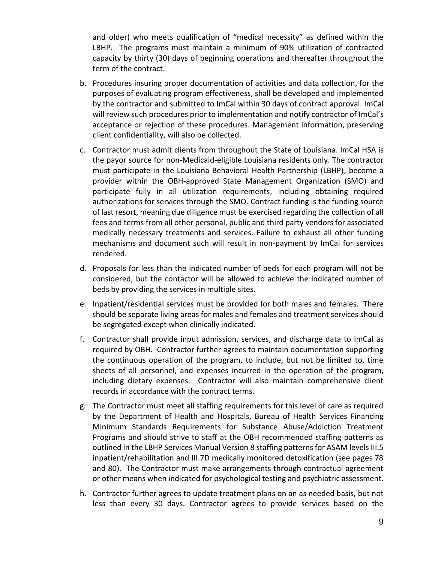and older) who meets qualification of "medical necessity" as defined within the LBHP. The programs must maintain a minimum of 90% utilization of contracted capacity by thirty (30) days of beginning operations and thereafter throughout the term of the contract.

- b. Procedures insuring proper documentation of activities and data collection, for the purposes of evaluating program effectiveness, shall be developed and implemented by the contractor and submitted to ImCal within 30 days of contract approval. ImCal will review such procedures prior to implementation and notify contractor of ImCal's acceptance or rejection of these procedures. Management information, preserving client confidentiality, will also be collected.
- c. Contractor must admit clients from throughout the State of Louisiana. ImCal HSA is the payor source for non-Medicaid-eligible Louisiana residents only. The contractor must participate in the Louisiana Behavioral Health Partnership (LBHP), become a provider within the OBH-approved State Management Organization (SMO) and participate fully in all utilization requirements, including obtaining required authorizations for services through the SMO. Contract funding is the funding source of last resort, meaning due diligence must be exercised regarding the collection of all fees and terms from all other personal, public and third party vendors for associated medically necessary treatments and services. Failure to exhaust all other funding mechanisms and document such will result in non-payment by ImCal for services rendered.
- d. Proposals for less than the indicated number of beds for each program will not be considered, but the contactor will be allowed to achieve the indicated number of beds by providing the services in multiple sites.
- e. Inpatient/residential services must be provided for both males and females. There should be separate living areas for males and females and treatment services should be segregated except when clinically indicated.
- f. Contractor shall provide input admission, services, and discharge data to ImCal as required by OBH. Contractor further agrees to maintain documentation supporting the continuous operation of the program, to include, but not be limited to, time sheets of all personnel, and expenses incurred in the operation of the program, including dietary expenses. Contractor will also maintain comprehensive client records in accordance with the contract terms.
- g. The Contractor must meet all staffing requirements for this level of care as required by the Department of Health and Hospitals, Bureau of Health Services Financing Minimum Standards Requirements for Substance Abuse/Addiction Treatment Programs and should strive to staff at the OBH recommended staffing patterns as outlined in the LBHP Services Manual Version 8 staffing patterns for ASAM levels III.5 inpatient/rehabilitation and III.7D medically monitored detoxification (see pages 78 and 80). The Contractor must make arrangements through contractual agreement or other means when indicated for psychological testing and psychiatric assessment.
- h. Contractor further agrees to update treatment plans on an as needed basis, but not less than every 30 days. Contractor agrees to provide services based on the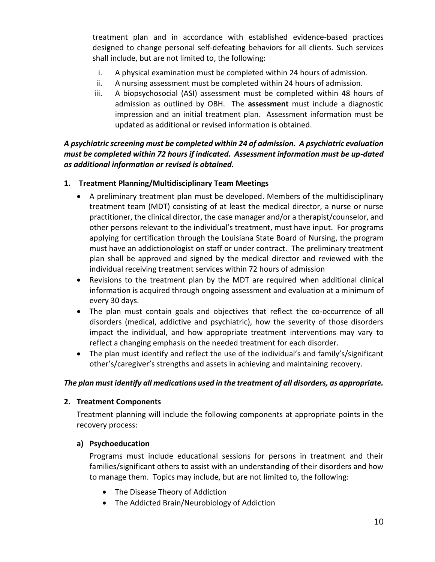treatment plan and in accordance with established evidence-based practices designed to change personal self-defeating behaviors for all clients. Such services shall include, but are not limited to, the following:

- i. A physical examination must be completed within 24 hours of admission.
- ii. A nursing assessment must be completed within 24 hours of admission.
- iii. A biopsychosocial (ASI) assessment must be completed within 48 hours of admission as outlined by OBH. The **assessment** must include a diagnostic impression and an initial treatment plan. Assessment information must be updated as additional or revised information is obtained.

*A psychiatric screening must be completed within 24 of admission. A psychiatric evaluation must be completed within 72 hours if indicated. Assessment information must be up-dated as additional information or revised is obtained.*

## **1. Treatment Planning/Multidisciplinary Team Meetings**

- A preliminary treatment plan must be developed. Members of the multidisciplinary treatment team (MDT) consisting of at least the medical director, a nurse or nurse practitioner, the clinical director, the case manager and/or a therapist/counselor, and other persons relevant to the individual's treatment, must have input. For programs applying for certification through the Louisiana State Board of Nursing, the program must have an addictionologist on staff or under contract. The preliminary treatment plan shall be approved and signed by the medical director and reviewed with the individual receiving treatment services within 72 hours of admission
- Revisions to the treatment plan by the MDT are required when additional clinical information is acquired through ongoing assessment and evaluation at a minimum of every 30 days.
- The plan must contain goals and objectives that reflect the co-occurrence of all disorders (medical, addictive and psychiatric), how the severity of those disorders impact the individual, and how appropriate treatment interventions may vary to reflect a changing emphasis on the needed treatment for each disorder.
- The plan must identify and reflect the use of the individual's and family's/significant other's/caregiver's strengths and assets in achieving and maintaining recovery.

## *The plan must identify all medications used in the treatment of all disorders, as appropriate.*

## **2. Treatment Components**

Treatment planning will include the following components at appropriate points in the recovery process:

## **a) Psychoeducation**

Programs must include educational sessions for persons in treatment and their families/significant others to assist with an understanding of their disorders and how to manage them. Topics may include, but are not limited to, the following:

- The Disease Theory of Addiction
- The Addicted Brain/Neurobiology of Addiction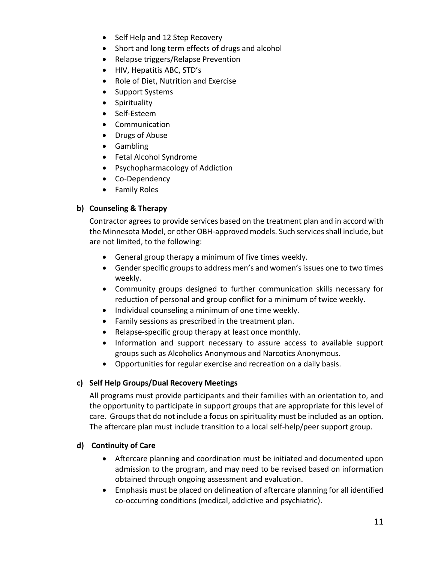- Self Help and 12 Step Recovery
- Short and long term effects of drugs and alcohol
- Relapse triggers/Relapse Prevention
- HIV, Hepatitis ABC, STD's
- Role of Diet, Nutrition and Exercise
- Support Systems
- Spirituality
- Self-Esteem
- Communication
- Drugs of Abuse
- Gambling
- Fetal Alcohol Syndrome
- Psychopharmacology of Addiction
- Co-Dependency
- Family Roles

# **b) Counseling & Therapy**

Contractor agrees to provide services based on the treatment plan and in accord with the Minnesota Model, or other OBH-approved models. Such services shall include, but are not limited, to the following:

- General group therapy a minimum of five times weekly.
- Gender specific groups to address men's and women's issues one to two times weekly.
- Community groups designed to further communication skills necessary for reduction of personal and group conflict for a minimum of twice weekly.
- Individual counseling a minimum of one time weekly.
- Family sessions as prescribed in the treatment plan.
- Relapse-specific group therapy at least once monthly.
- Information and support necessary to assure access to available support groups such as Alcoholics Anonymous and Narcotics Anonymous.
- Opportunities for regular exercise and recreation on a daily basis.

# **c) Self Help Groups/Dual Recovery Meetings**

All programs must provide participants and their families with an orientation to, and the opportunity to participate in support groups that are appropriate for this level of care. Groups that do not include a focus on spirituality must be included as an option. The aftercare plan must include transition to a local self-help/peer support group.

# **d) Continuity of Care**

- Aftercare planning and coordination must be initiated and documented upon admission to the program, and may need to be revised based on information obtained through ongoing assessment and evaluation.
- Emphasis must be placed on delineation of aftercare planning for all identified co-occurring conditions (medical, addictive and psychiatric).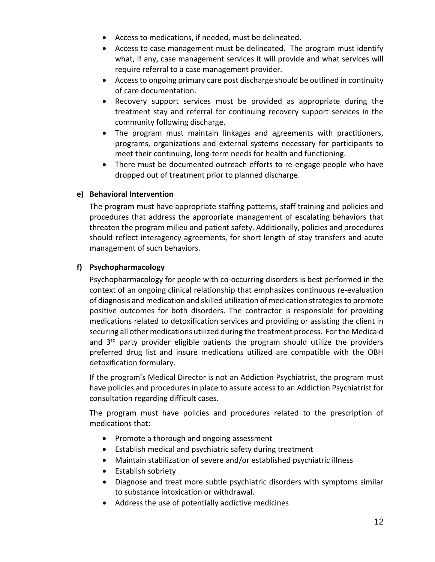- Access to medications, if needed, must be delineated.
- Access to case management must be delineated. The program must identify what, if any, case management services it will provide and what services will require referral to a case management provider.
- Access to ongoing primary care post discharge should be outlined in continuity of care documentation.
- Recovery support services must be provided as appropriate during the treatment stay and referral for continuing recovery support services in the community following discharge.
- The program must maintain linkages and agreements with practitioners, programs, organizations and external systems necessary for participants to meet their continuing, long-term needs for health and functioning.
- There must be documented outreach efforts to re-engage people who have dropped out of treatment prior to planned discharge.

## **e) Behavioral Intervention**

The program must have appropriate staffing patterns, staff training and policies and procedures that address the appropriate management of escalating behaviors that threaten the program milieu and patient safety. Additionally, policies and procedures should reflect interagency agreements, for short length of stay transfers and acute management of such behaviors.

## **f) Psychopharmacology**

Psychopharmacology for people with co-occurring disorders is best performed in the context of an ongoing clinical relationship that emphasizes continuous re-evaluation of diagnosis and medication and skilled utilization of medication strategies to promote positive outcomes for both disorders. The contractor is responsible for providing medications related to detoxification services and providing or assisting the client in securing all other medications utilized during the treatment process. For the Medicaid and  $3<sup>rd</sup>$  party provider eligible patients the program should utilize the providers preferred drug list and insure medications utilized are compatible with the OBH detoxification formulary.

If the program's Medical Director is not an Addiction Psychiatrist, the program must have policies and procedures in place to assure access to an Addiction Psychiatrist for consultation regarding difficult cases.

The program must have policies and procedures related to the prescription of medications that:

- Promote a thorough and ongoing assessment
- Establish medical and psychiatric safety during treatment
- Maintain stabilization of severe and/or established psychiatric illness
- Establish sobriety
- Diagnose and treat more subtle psychiatric disorders with symptoms similar to substance intoxication or withdrawal.
- Address the use of potentially addictive medicines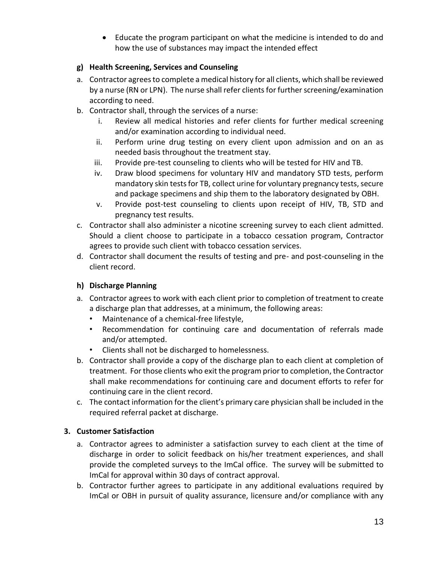Educate the program participant on what the medicine is intended to do and how the use of substances may impact the intended effect

## **g) Health Screening, Services and Counseling**

- a. Contractor agrees to complete a medical history for all clients, which shall be reviewed by a nurse (RN or LPN). The nurse shall refer clients for further screening/examination according to need.
- b. Contractor shall, through the services of a nurse:
	- i. Review all medical histories and refer clients for further medical screening and/or examination according to individual need.
	- ii. Perform urine drug testing on every client upon admission and on an as needed basis throughout the treatment stay.
	- iii. Provide pre-test counseling to clients who will be tested for HIV and TB.
	- iv. Draw blood specimens for voluntary HIV and mandatory STD tests, perform mandatory skin tests for TB, collect urine for voluntary pregnancy tests, secure and package specimens and ship them to the laboratory designated by OBH.
	- v. Provide post-test counseling to clients upon receipt of HIV, TB, STD and pregnancy test results.
- c. Contractor shall also administer a nicotine screening survey to each client admitted. Should a client choose to participate in a tobacco cessation program, Contractor agrees to provide such client with tobacco cessation services.
- d. Contractor shall document the results of testing and pre- and post-counseling in the client record.

## **h) Discharge Planning**

- a. Contractor agrees to work with each client prior to completion of treatment to create a discharge plan that addresses, at a minimum, the following areas:
	- Maintenance of a chemical-free lifestyle,
	- Recommendation for continuing care and documentation of referrals made and/or attempted.
	- Clients shall not be discharged to homelessness.
- b. Contractor shall provide a copy of the discharge plan to each client at completion of treatment. For those clients who exit the program prior to completion, the Contractor shall make recommendations for continuing care and document efforts to refer for continuing care in the client record.
- c. The contact information for the client's primary care physician shall be included in the required referral packet at discharge.

# **3. Customer Satisfaction**

- a. Contractor agrees to administer a satisfaction survey to each client at the time of discharge in order to solicit feedback on his/her treatment experiences, and shall provide the completed surveys to the ImCal office. The survey will be submitted to ImCal for approval within 30 days of contract approval.
- b. Contractor further agrees to participate in any additional evaluations required by ImCal or OBH in pursuit of quality assurance, licensure and/or compliance with any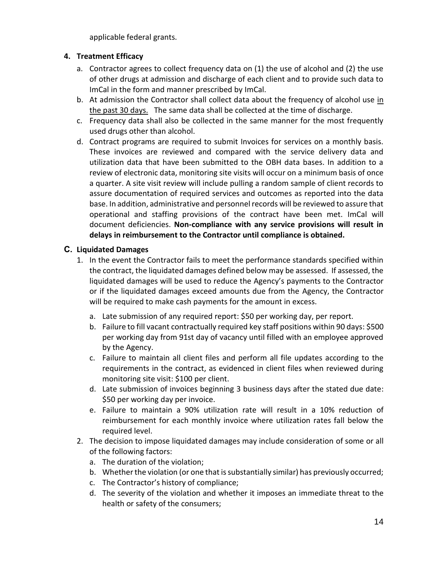applicable federal grants.

## **4. Treatment Efficacy**

- a. Contractor agrees to collect frequency data on (1) the use of alcohol and (2) the use of other drugs at admission and discharge of each client and to provide such data to ImCal in the form and manner prescribed by ImCal.
- b. At admission the Contractor shall collect data about the frequency of alcohol use in the past 30 days. The same data shall be collected at the time of discharge.
- c. Frequency data shall also be collected in the same manner for the most frequently used drugs other than alcohol.
- d. Contract programs are required to submit Invoices for services on a monthly basis. These invoices are reviewed and compared with the service delivery data and utilization data that have been submitted to the OBH data bases. In addition to a review of electronic data, monitoring site visits will occur on a minimum basis of once a quarter. A site visit review will include pulling a random sample of client records to assure documentation of required services and outcomes as reported into the data base. In addition, administrative and personnel records will be reviewed to assure that operational and staffing provisions of the contract have been met. ImCal will document deficiencies. **Non-compliance with any service provisions will result in delays in reimbursement to the Contractor until compliance is obtained.**

## **C. Liquidated Damages**

- 1. In the event the Contractor fails to meet the performance standards specified within the contract, the liquidated damages defined below may be assessed. If assessed, the liquidated damages will be used to reduce the Agency's payments to the Contractor or if the liquidated damages exceed amounts due from the Agency, the Contractor will be required to make cash payments for the amount in excess.
	- a. Late submission of any required report: \$50 per working day, per report.
	- b. Failure to fill vacant contractually required key staff positions within 90 days: \$500 per working day from 91st day of vacancy until filled with an employee approved by the Agency.
	- c. Failure to maintain all client files and perform all file updates according to the requirements in the contract, as evidenced in client files when reviewed during monitoring site visit: \$100 per client.
	- d. Late submission of invoices beginning 3 business days after the stated due date: \$50 per working day per invoice.
	- e. Failure to maintain a 90% utilization rate will result in a 10% reduction of reimbursement for each monthly invoice where utilization rates fall below the required level.
- 2. The decision to impose liquidated damages may include consideration of some or all of the following factors:
	- a. The duration of the violation;
	- b. Whether the violation (or one that is substantially similar) has previously occurred;
	- c. The Contractor's history of compliance;
	- d. The severity of the violation and whether it imposes an immediate threat to the health or safety of the consumers;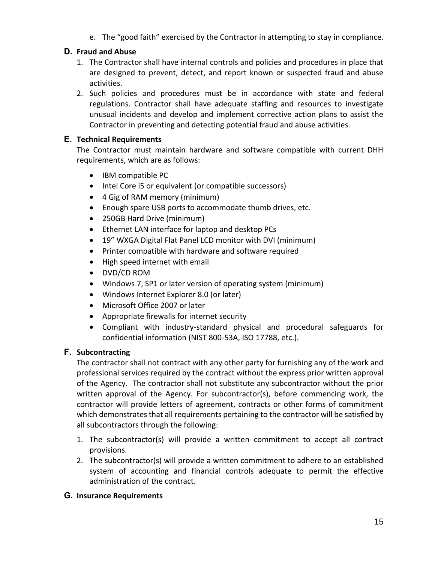e. The "good faith" exercised by the Contractor in attempting to stay in compliance.

# **D. Fraud and Abuse**

- 1. The Contractor shall have internal controls and policies and procedures in place that are designed to prevent, detect, and report known or suspected fraud and abuse activities.
- 2. Such policies and procedures must be in accordance with state and federal regulations. Contractor shall have adequate staffing and resources to investigate unusual incidents and develop and implement corrective action plans to assist the Contractor in preventing and detecting potential fraud and abuse activities.

## **E. Technical Requirements**

The Contractor must maintain hardware and software compatible with current DHH requirements, which are as follows:

- IBM compatible PC
- Intel Core i5 or equivalent (or compatible successors)
- 4 Gig of RAM memory (minimum)
- Enough spare USB ports to accommodate thumb drives, etc.
- 250GB Hard Drive (minimum)
- Ethernet LAN interface for laptop and desktop PCs
- 19" WXGA Digital Flat Panel LCD monitor with DVI (minimum)
- Printer compatible with hardware and software required
- High speed internet with email
- DVD/CD ROM
- Windows 7, SP1 or later version of operating system (minimum)
- Windows Internet Explorer 8.0 (or later)
- Microsoft Office 2007 or later
- Appropriate firewalls for internet security
- Compliant with industry-standard physical and procedural safeguards for confidential information (NIST 800-53A, ISO 17788, etc.).

## **F. Subcontracting**

The contractor shall not contract with any other party for furnishing any of the work and professional services required by the contract without the express prior written approval of the Agency. The contractor shall not substitute any subcontractor without the prior written approval of the Agency. For subcontractor(s), before commencing work, the contractor will provide letters of agreement, contracts or other forms of commitment which demonstrates that all requirements pertaining to the contractor will be satisfied by all subcontractors through the following:

- 1. The subcontractor(s) will provide a written commitment to accept all contract provisions.
- 2. The subcontractor(s) will provide a written commitment to adhere to an established system of accounting and financial controls adequate to permit the effective administration of the contract.

## **G. Insurance Requirements**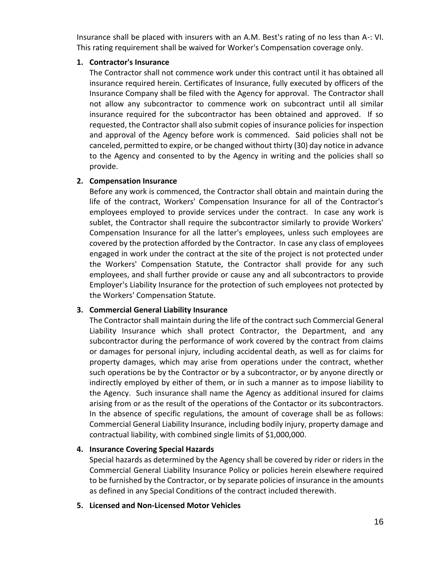Insurance shall be placed with insurers with an A.M. Best's rating of no less than A-: VI. This rating requirement shall be waived for Worker's Compensation coverage only.

#### **1. Contractor's Insurance**

The Contractor shall not commence work under this contract until it has obtained all insurance required herein. Certificates of Insurance, fully executed by officers of the Insurance Company shall be filed with the Agency for approval. The Contractor shall not allow any subcontractor to commence work on subcontract until all similar insurance required for the subcontractor has been obtained and approved. If so requested, the Contractor shall also submit copies of insurance policies for inspection and approval of the Agency before work is commenced. Said policies shall not be canceled, permitted to expire, or be changed without thirty (30) day notice in advance to the Agency and consented to by the Agency in writing and the policies shall so provide.

## **2. Compensation Insurance**

Before any work is commenced, the Contractor shall obtain and maintain during the life of the contract, Workers' Compensation Insurance for all of the Contractor's employees employed to provide services under the contract. In case any work is sublet, the Contractor shall require the subcontractor similarly to provide Workers' Compensation Insurance for all the latter's employees, unless such employees are covered by the protection afforded by the Contractor. In case any class of employees engaged in work under the contract at the site of the project is not protected under the Workers' Compensation Statute, the Contractor shall provide for any such employees, and shall further provide or cause any and all subcontractors to provide Employer's Liability Insurance for the protection of such employees not protected by the Workers' Compensation Statute.

## **3. Commercial General Liability Insurance**

The Contractor shall maintain during the life of the contract such Commercial General Liability Insurance which shall protect Contractor, the Department, and any subcontractor during the performance of work covered by the contract from claims or damages for personal injury, including accidental death, as well as for claims for property damages, which may arise from operations under the contract, whether such operations be by the Contractor or by a subcontractor, or by anyone directly or indirectly employed by either of them, or in such a manner as to impose liability to the Agency. Such insurance shall name the Agency as additional insured for claims arising from or as the result of the operations of the Contactor or its subcontractors. In the absence of specific regulations, the amount of coverage shall be as follows: Commercial General Liability Insurance, including bodily injury, property damage and contractual liability, with combined single limits of \$1,000,000.

# **4. Insurance Covering Special Hazards**

Special hazards as determined by the Agency shall be covered by rider or riders in the Commercial General Liability Insurance Policy or policies herein elsewhere required to be furnished by the Contractor, or by separate policies of insurance in the amounts as defined in any Special Conditions of the contract included therewith.

## **5. Licensed and Non-Licensed Motor Vehicles**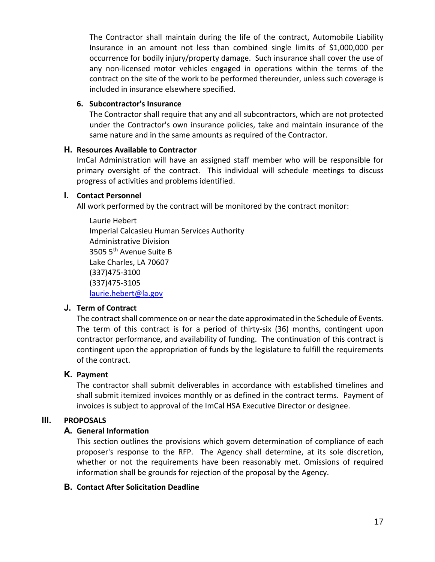The Contractor shall maintain during the life of the contract, Automobile Liability Insurance in an amount not less than combined single limits of \$1,000,000 per occurrence for bodily injury/property damage. Such insurance shall cover the use of any non-licensed motor vehicles engaged in operations within the terms of the contract on the site of the work to be performed thereunder, unless such coverage is included in insurance elsewhere specified.

## **6. Subcontractor's Insurance**

The Contractor shall require that any and all subcontractors, which are not protected under the Contractor's own insurance policies, take and maintain insurance of the same nature and in the same amounts as required of the Contractor.

## **H. Resources Available to Contractor**

ImCal Administration will have an assigned staff member who will be responsible for primary oversight of the contract. This individual will schedule meetings to discuss progress of activities and problems identified.

## **I. Contact Personnel**

All work performed by the contract will be monitored by the contract monitor:

Laurie Hebert Imperial Calcasieu Human Services Authority Administrative Division 3505 5<sup>th</sup> Avenue Suite B Lake Charles, LA 70607 (337)475-3100 (337)475-3105 [laurie.hebert@la.gov](mailto:laurie.hebert@la.gov)

# **J. Term of Contract**

The contract shall commence on or near the date approximated in the Schedule of Events. The term of this contract is for a period of thirty-six (36) months, contingent upon contractor performance, and availability of funding. The continuation of this contract is contingent upon the appropriation of funds by the legislature to fulfill the requirements of the contract.

# **K. Payment**

The contractor shall submit deliverables in accordance with established timelines and shall submit itemized invoices monthly or as defined in the contract terms. Payment of invoices is subject to approval of the ImCal HSA Executive Director or designee.

# **III. PROPOSALS**

# **A. General Information**

This section outlines the provisions which govern determination of compliance of each proposer's response to the RFP. The Agency shall determine, at its sole discretion, whether or not the requirements have been reasonably met. Omissions of required information shall be grounds for rejection of the proposal by the Agency.

# **B. Contact After Solicitation Deadline**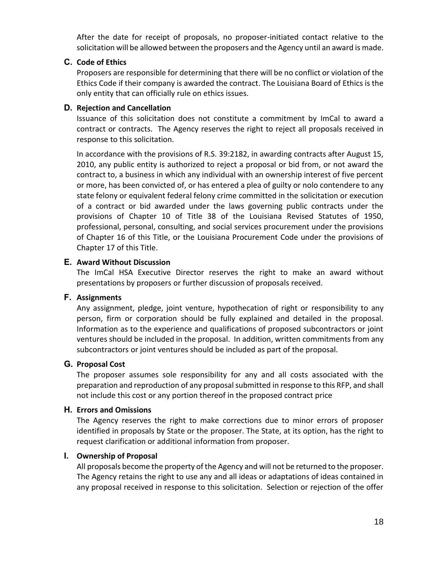After the date for receipt of proposals, no proposer-initiated contact relative to the solicitation will be allowed between the proposers and the Agency until an award is made.

## **C. Code of Ethics**

Proposers are responsible for determining that there will be no conflict or violation of the Ethics Code if their company is awarded the contract. The Louisiana Board of Ethics is the only entity that can officially rule on ethics issues.

## **D. Rejection and Cancellation**

Issuance of this solicitation does not constitute a commitment by ImCal to award a contract or contracts. The Agency reserves the right to reject all proposals received in response to this solicitation.

In accordance with the provisions of R.S. 39:2182, in awarding contracts after August 15, 2010, any public entity is authorized to reject a proposal or bid from, or not award the contract to, a business in which any individual with an ownership interest of five percent or more, has been convicted of, or has entered a plea of guilty or nolo contendere to any state felony or equivalent federal felony crime committed in the solicitation or execution of a contract or bid awarded under the laws governing public contracts under the provisions of Chapter 10 of Title 38 of the Louisiana Revised Statutes of 1950, professional, personal, consulting, and social services procurement under the provisions of Chapter 16 of this Title, or the Louisiana Procurement Code under the provisions of Chapter 17 of this Title.

## **E. Award Without Discussion**

The ImCal HSA Executive Director reserves the right to make an award without presentations by proposers or further discussion of proposals received.

# **F. Assignments**

Any assignment, pledge, joint venture, hypothecation of right or responsibility to any person, firm or corporation should be fully explained and detailed in the proposal. Information as to the experience and qualifications of proposed subcontractors or joint ventures should be included in the proposal. In addition, written commitments from any subcontractors or joint ventures should be included as part of the proposal.

# **G. Proposal Cost**

The proposer assumes sole responsibility for any and all costs associated with the preparation and reproduction of any proposal submitted in response to this RFP, and shall not include this cost or any portion thereof in the proposed contract price

## **H. Errors and Omissions**

The Agency reserves the right to make corrections due to minor errors of proposer identified in proposals by State or the proposer. The State, at its option, has the right to request clarification or additional information from proposer.

# **I. Ownership of Proposal**

All proposals become the property of the Agency and will not be returned to the proposer. The Agency retains the right to use any and all ideas or adaptations of ideas contained in any proposal received in response to this solicitation. Selection or rejection of the offer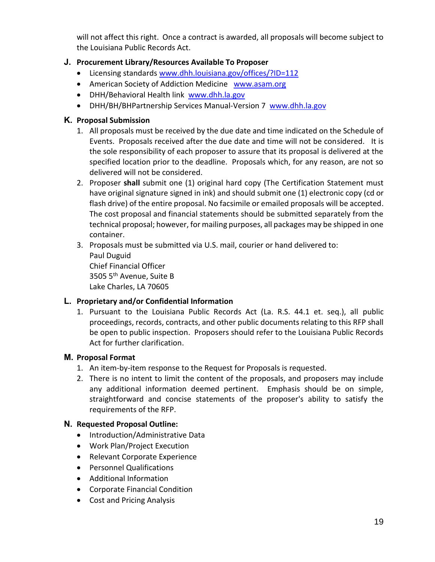will not affect this right. Once a contract is awarded, all proposals will become subject to the Louisiana Public Records Act.

## **J. Procurement Library/Resources Available To Proposer**

- Licensing standards [www.dhh.louisiana.gov/offices/?ID=112](file://DHH-ISB-FS01/User%20Folders/gschum/My%20Documents/Drive%20(H)/CONTRACT/INPATIENT%20Privatization/www.dhh.louisiana.gov/offices/%3fID=112)
- American Society of Addiction Medicine [www.asam.org](file://DHH-ISB-FS01/User%20Folders/gschum/My%20Documents/Drive%20(H)/CONTRACT/INPATIENT%20Privatization/www.asam.org)
- DHH/Behavioral Health link [www.dhh.la.gov](http://www.dhh.la.gov/)
- DHH/BH/BHPartnership Services Manual-Version 7 [www.dhh.la.gov](http://www.dhh.la.gov/)

#### **K. Proposal Submission**

- 1. All proposals must be received by the due date and time indicated on the Schedule of Events. Proposals received after the due date and time will not be considered. It is the sole responsibility of each proposer to assure that its proposal is delivered at the specified location prior to the deadline. Proposals which, for any reason, are not so delivered will not be considered.
- 2. Proposer **shall** submit one (1) original hard copy (The Certification Statement must have original signature signed in ink) and should submit one (1) electronic copy (cd or flash drive) of the entire proposal. No facsimile or emailed proposals will be accepted. The cost proposal and financial statements should be submitted separately from the technical proposal; however, for mailing purposes, all packages may be shipped in one container.
- 3. Proposals must be submitted via U.S. mail, courier or hand delivered to: Paul Duguid Chief Financial Officer 3505 5<sup>th</sup> Avenue, Suite B Lake Charles, LA 70605

## **L. Proprietary and/or Confidential Information**

1. Pursuant to the Louisiana Public Records Act (La. R.S. 44.1 et. seq.), all public proceedings, records, contracts, and other public documents relating to this RFP shall be open to public inspection. Proposers should refer to the Louisiana Public Records Act for further clarification.

## **M. Proposal Format**

- 1. An item-by-item response to the Request for Proposals is requested.
- 2. There is no intent to limit the content of the proposals, and proposers may include any additional information deemed pertinent. Emphasis should be on simple, straightforward and concise statements of the proposer's ability to satisfy the requirements of the RFP.

#### **N. Requested Proposal Outline:**

- Introduction/Administrative Data
- Work Plan/Project Execution
- Relevant Corporate Experience
- Personnel Qualifications
- Additional Information
- Corporate Financial Condition
- Cost and Pricing Analysis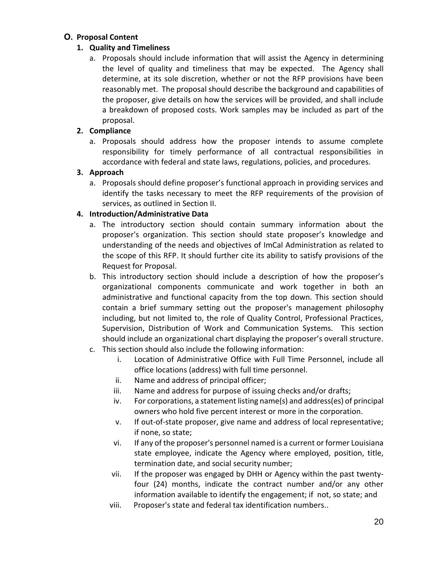# **O. Proposal Content**

# **1. Quality and Timeliness**

a. Proposals should include information that will assist the Agency in determining the level of quality and timeliness that may be expected. The Agency shall determine, at its sole discretion, whether or not the RFP provisions have been reasonably met. The proposal should describe the background and capabilities of the proposer, give details on how the services will be provided, and shall include a breakdown of proposed costs. Work samples may be included as part of the proposal.

# **2. Compliance**

a. Proposals should address how the proposer intends to assume complete responsibility for timely performance of all contractual responsibilities in accordance with federal and state laws, regulations, policies, and procedures.

# **3. Approach**

a. Proposals should define proposer's functional approach in providing services and identify the tasks necessary to meet the RFP requirements of the provision of services, as outlined in Section II.

# **4. Introduction/Administrative Data**

- a. The introductory section should contain summary information about the proposer's organization. This section should state proposer's knowledge and understanding of the needs and objectives of ImCal Administration as related to the scope of this RFP. It should further cite its ability to satisfy provisions of the Request for Proposal.
- b. This introductory section should include a description of how the proposer's organizational components communicate and work together in both an administrative and functional capacity from the top down. This section should contain a brief summary setting out the proposer's management philosophy including, but not limited to, the role of Quality Control, Professional Practices, Supervision, Distribution of Work and Communication Systems. This section should include an organizational chart displaying the proposer's overall structure.
- c. This section should also include the following information:
	- i. Location of Administrative Office with Full Time Personnel, include all office locations (address) with full time personnel.
	- ii. Name and address of principal officer;
	- iii. Name and address for purpose of issuing checks and/or drafts;
	- iv. For corporations, a statement listing name(s) and address(es) of principal owners who hold five percent interest or more in the corporation.
	- v. If out-of-state proposer, give name and address of local representative; if none, so state;
	- vi. If any of the proposer's personnel named is a current or former Louisiana state employee, indicate the Agency where employed, position, title, termination date, and social security number;
	- vii. If the proposer was engaged by DHH or Agency within the past twentyfour (24) months, indicate the contract number and/or any other information available to identify the engagement; if not, so state; and
	- viii. Proposer's state and federal tax identification numbers..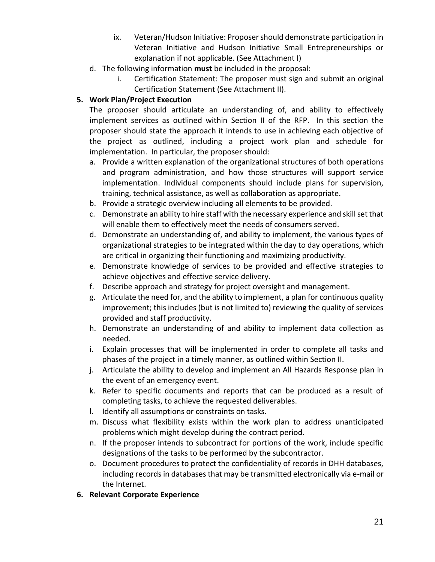- ix. Veteran/Hudson Initiative: Proposer should demonstrate participation in Veteran Initiative and Hudson Initiative Small Entrepreneurships or explanation if not applicable. (See Attachment I)
- d. The following information **must** be included in the proposal:
	- i. Certification Statement: The proposer must sign and submit an original Certification Statement (See Attachment II).

## **5. Work Plan/Project Execution**

The proposer should articulate an understanding of, and ability to effectively implement services as outlined within Section II of the RFP. In this section the proposer should state the approach it intends to use in achieving each objective of the project as outlined, including a project work plan and schedule for implementation. In particular, the proposer should:

- a. Provide a written explanation of the organizational structures of both operations and program administration, and how those structures will support service implementation. Individual components should include plans for supervision, training, technical assistance, as well as collaboration as appropriate.
- b. Provide a strategic overview including all elements to be provided.
- c. Demonstrate an ability to hire staff with the necessary experience and skill set that will enable them to effectively meet the needs of consumers served.
- d. Demonstrate an understanding of, and ability to implement, the various types of organizational strategies to be integrated within the day to day operations, which are critical in organizing their functioning and maximizing productivity.
- e. Demonstrate knowledge of services to be provided and effective strategies to achieve objectives and effective service delivery.
- f. Describe approach and strategy for project oversight and management.
- g. Articulate the need for, and the ability to implement, a plan for continuous quality improvement; this includes (but is not limited to) reviewing the quality of services provided and staff productivity.
- h. Demonstrate an understanding of and ability to implement data collection as needed.
- i. Explain processes that will be implemented in order to complete all tasks and phases of the project in a timely manner, as outlined within Section II.
- j. Articulate the ability to develop and implement an All Hazards Response plan in the event of an emergency event.
- k. Refer to specific documents and reports that can be produced as a result of completing tasks, to achieve the requested deliverables.
- l. Identify all assumptions or constraints on tasks.
- m. Discuss what flexibility exists within the work plan to address unanticipated problems which might develop during the contract period.
- n. If the proposer intends to subcontract for portions of the work, include specific designations of the tasks to be performed by the subcontractor.
- o. Document procedures to protect the confidentiality of records in DHH databases, including records in databases that may be transmitted electronically via e-mail or the Internet.
- **6. Relevant Corporate Experience**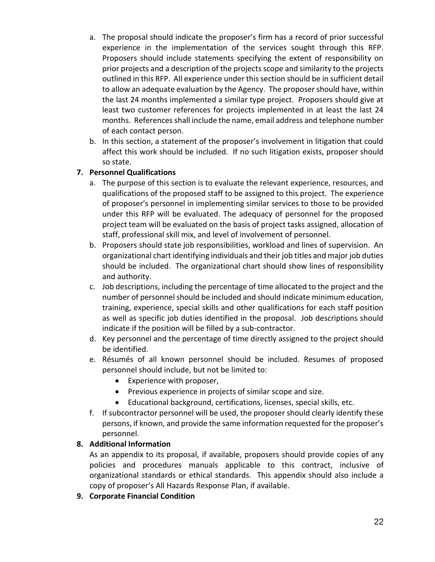- a. The proposal should indicate the proposer's firm has a record of prior successful experience in the implementation of the services sought through this RFP. Proposers should include statements specifying the extent of responsibility on prior projects and a description of the projects scope and similarity to the projects outlined in this RFP. All experience under this section should be in sufficient detail to allow an adequate evaluation by the Agency. The proposer should have, within the last 24 months implemented a similar type project. Proposers should give at least two customer references for projects implemented in at least the last 24 months. References shall include the name, email address and telephone number of each contact person.
- b. In this section, a statement of the proposer's involvement in litigation that could affect this work should be included. If no such litigation exists, proposer should so state.

## **7. Personnel Qualifications**

- a. The purpose of this section is to evaluate the relevant experience, resources, and qualifications of the proposed staff to be assigned to this project. The experience of proposer's personnel in implementing similar services to those to be provided under this RFP will be evaluated. The adequacy of personnel for the proposed project team will be evaluated on the basis of project tasks assigned, allocation of staff, professional skill mix, and level of involvement of personnel.
- b. Proposers should state job responsibilities, workload and lines of supervision. An organizational chart identifying individuals and their job titles and major job duties should be included. The organizational chart should show lines of responsibility and authority.
- c. Job descriptions, including the percentage of time allocated to the project and the number of personnel should be included and should indicate minimum education, training, experience, special skills and other qualifications for each staff position as well as specific job duties identified in the proposal. Job descriptions should indicate if the position will be filled by a sub-contractor.
- d. Key personnel and the percentage of time directly assigned to the project should be identified.
- e. Résumés of all known personnel should be included. Resumes of proposed personnel should include, but not be limited to:
	- Experience with proposer,
	- Previous experience in projects of similar scope and size.
	- Educational background, certifications, licenses, special skills, etc.
- f. If subcontractor personnel will be used, the proposer should clearly identify these persons, if known, and provide the same information requested for the proposer's personnel.

## **8. Additional Information**

As an appendix to its proposal, if available, proposers should provide copies of any policies and procedures manuals applicable to this contract, inclusive of organizational standards or ethical standards. This appendix should also include a copy of proposer's All Hazards Response Plan, if available.

**9. Corporate Financial Condition**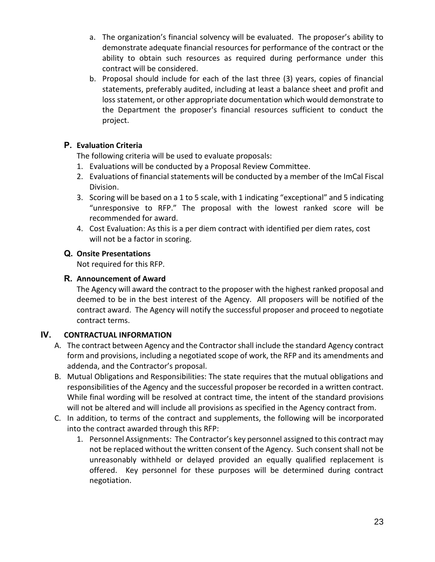- a. The organization's financial solvency will be evaluated. The proposer's ability to demonstrate adequate financial resources for performance of the contract or the ability to obtain such resources as required during performance under this contract will be considered.
- b. Proposal should include for each of the last three (3) years, copies of financial statements, preferably audited, including at least a balance sheet and profit and loss statement, or other appropriate documentation which would demonstrate to the Department the proposer's financial resources sufficient to conduct the project.

# **P. Evaluation Criteria**

The following criteria will be used to evaluate proposals:

- 1. Evaluations will be conducted by a Proposal Review Committee.
- 2. Evaluations of financial statements will be conducted by a member of the ImCal Fiscal Division.
- 3. Scoring will be based on a 1 to 5 scale, with 1 indicating "exceptional" and 5 indicating "unresponsive to RFP." The proposal with the lowest ranked score will be recommended for award.
- 4. Cost Evaluation: As this is a per diem contract with identified per diem rates, cost will not be a factor in scoring.

# **Q. Onsite Presentations**

Not required for this RFP.

# **R. Announcement of Award**

The Agency will award the contract to the proposer with the highest ranked proposal and deemed to be in the best interest of the Agency. All proposers will be notified of the contract award. The Agency will notify the successful proposer and proceed to negotiate contract terms.

# **IV. CONTRACTUAL INFORMATION**

- A. The contract between Agency and the Contractor shall include the standard Agency contract form and provisions, including a negotiated scope of work, the RFP and its amendments and addenda, and the Contractor's proposal.
- B. Mutual Obligations and Responsibilities: The state requires that the mutual obligations and responsibilities of the Agency and the successful proposer be recorded in a written contract. While final wording will be resolved at contract time, the intent of the standard provisions will not be altered and will include all provisions as specified in the Agency contract from.
- C. In addition, to terms of the contract and supplements, the following will be incorporated into the contract awarded through this RFP:
	- 1. Personnel Assignments: The Contractor's key personnel assigned to this contract may not be replaced without the written consent of the Agency. Such consent shall not be unreasonably withheld or delayed provided an equally qualified replacement is offered. Key personnel for these purposes will be determined during contract negotiation.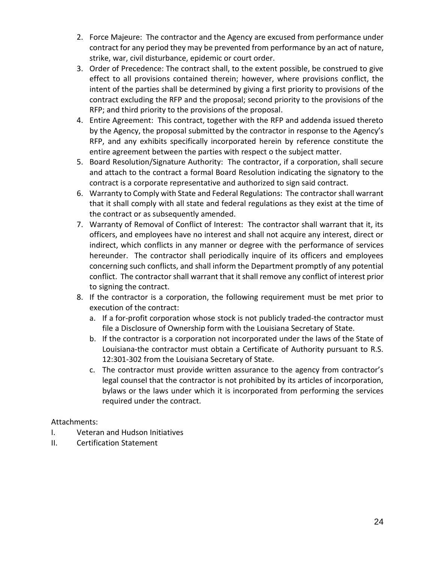- 2. Force Majeure: The contractor and the Agency are excused from performance under contract for any period they may be prevented from performance by an act of nature, strike, war, civil disturbance, epidemic or court order.
- 3. Order of Precedence: The contract shall, to the extent possible, be construed to give effect to all provisions contained therein; however, where provisions conflict, the intent of the parties shall be determined by giving a first priority to provisions of the contract excluding the RFP and the proposal; second priority to the provisions of the RFP; and third priority to the provisions of the proposal.
- 4. Entire Agreement: This contract, together with the RFP and addenda issued thereto by the Agency, the proposal submitted by the contractor in response to the Agency's RFP, and any exhibits specifically incorporated herein by reference constitute the entire agreement between the parties with respect o the subject matter.
- 5. Board Resolution/Signature Authority: The contractor, if a corporation, shall secure and attach to the contract a formal Board Resolution indicating the signatory to the contract is a corporate representative and authorized to sign said contract.
- 6. Warranty to Comply with State and Federal Regulations: The contractor shall warrant that it shall comply with all state and federal regulations as they exist at the time of the contract or as subsequently amended.
- 7. Warranty of Removal of Conflict of Interest: The contractor shall warrant that it, its officers, and employees have no interest and shall not acquire any interest, direct or indirect, which conflicts in any manner or degree with the performance of services hereunder. The contractor shall periodically inquire of its officers and employees concerning such conflicts, and shall inform the Department promptly of any potential conflict. The contractor shall warrant that it shall remove any conflict of interest prior to signing the contract.
- 8. If the contractor is a corporation, the following requirement must be met prior to execution of the contract:
	- a. If a for-profit corporation whose stock is not publicly traded-the contractor must file a Disclosure of Ownership form with the Louisiana Secretary of State.
	- b. If the contractor is a corporation not incorporated under the laws of the State of Louisiana-the contractor must obtain a Certificate of Authority pursuant to R.S. 12:301-302 from the Louisiana Secretary of State.
	- c. The contractor must provide written assurance to the agency from contractor's legal counsel that the contractor is not prohibited by its articles of incorporation, bylaws or the laws under which it is incorporated from performing the services required under the contract.

Attachments:

- I. Veteran and Hudson Initiatives
- II. Certification Statement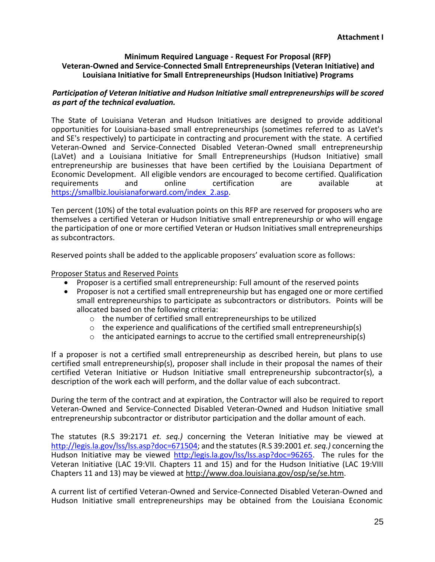#### **Minimum Required Language - Request For Proposal (RFP) Veteran-Owned and Service-Connected Small Entrepreneurships (Veteran Initiative) and Louisiana Initiative for Small Entrepreneurships (Hudson Initiative) Programs**

#### *Participation of Veteran Initiative and Hudson Initiative small entrepreneurships will be scored as part of the technical evaluation.*

The State of Louisiana Veteran and Hudson Initiatives are designed to provide additional opportunities for Louisiana-based small entrepreneurships (sometimes referred to as LaVet's and SE's respectively) to participate in contracting and procurement with the state. A certified Veteran-Owned and Service-Connected Disabled Veteran-Owned small entrepreneurship (LaVet) and a Louisiana Initiative for Small Entrepreneurships (Hudson Initiative) small entrepreneurship are businesses that have been certified by the Louisiana Department of Economic Development. All eligible vendors are encouraged to become certified. Qualification<br>
requirements
and
registion
requirements
registion
requirements
registion
registion
registion
registion
registion
registion
regis requirements and online certification are available at [https://smallbiz.louisianaforward.com/index\\_2.asp.](https://smallbiz.louisianaforward.com/index_2.asp)

Ten percent (10%) of the total evaluation points on this RFP are reserved for proposers who are themselves a certified Veteran or Hudson Initiative small entrepreneurship or who will engage the participation of one or more certified Veteran or Hudson Initiatives small entrepreneurships as subcontractors.

Reserved points shall be added to the applicable proposers' evaluation score as follows:

#### Proposer Status and Reserved Points

- Proposer is a certified small entrepreneurship: Full amount of the reserved points
- Proposer is not a certified small entrepreneurship but has engaged one or more certified small entrepreneurships to participate as subcontractors or distributors. Points will be allocated based on the following criteria:
	- o the number of certified small entrepreneurships to be utilized
	- $\circ$  the experience and qualifications of the certified small entrepreneurship(s)
	- $\circ$  the anticipated earnings to accrue to the certified small entrepreneurship(s)

If a proposer is not a certified small entrepreneurship as described herein, but plans to use certified small entrepreneurship(s), proposer shall include in their proposal the names of their certified Veteran Initiative or Hudson Initiative small entrepreneurship subcontractor(s), a description of the work each will perform, and the dollar value of each subcontract.

During the term of the contract and at expiration, the Contractor will also be required to report Veteran-Owned and Service-Connected Disabled Veteran-Owned and Hudson Initiative small entrepreneurship subcontractor or distributor participation and the dollar amount of each.

The statutes (R.S 39:2171 *et. seq.)* concerning the Veteran Initiative may be viewed at [http://legis.la.gov/lss/lss.asp?doc=671504;](http://legis.la.gov/lss/lss.asp?doc=671504) and the statutes (R.S 39:2001 *et. seq.)* concerning the Hudson Initiative may be viewed [http:/legis.la.gov/lss/lss.asp?doc=96265.](http://legis.la.gov/lss/lss.asp?doc=96265) The rules for the Veteran Initiative (LAC 19:VII. Chapters 11 and 15) and for the Hudson Initiative (LAC 19:VIII Chapters 11 and 13) may be viewed at http://www.doa.louisiana.gov/osp/se/se.htm.

A current list of certified Veteran-Owned and Service-Connected Disabled Veteran-Owned and Hudson Initiative small entrepreneurships may be obtained from the Louisiana Economic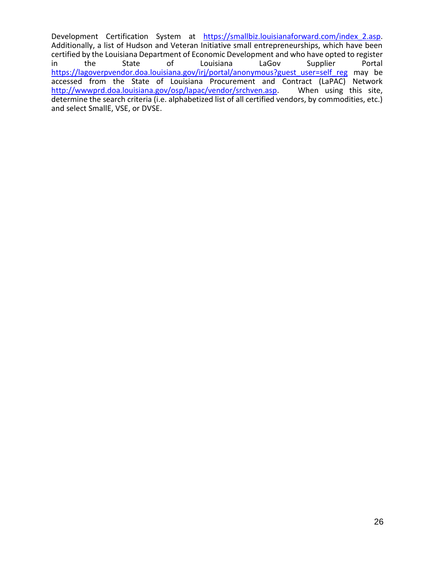Development Certification System at [https://smallbiz.louisianaforward.com/index\\_2.asp.](https://smallbiz.louisianaforward.com/index_2.asp) Additionally, a list of Hudson and Veteran Initiative small entrepreneurships, which have been certified by the Louisiana Department of Economic Development and who have opted to register<br>in the State of Louisiana LaGov Supplier Portal in the State of Louisiana LaGov Supplier Portal [https://lagoverpvendor.doa.louisiana.gov/irj/portal/anonymous?guest\\_user=self\\_reg](https://lagoverpvendor.doa.louisiana.gov/irj/portal/anonymous?guest_user=self_reg) may be accessed from the State of Louisiana Procurement and Contract (LaPAC) Network<br>http://wwwprd.doa.louisiana.gov/osp/lapac/vendor/srchven.asp. When using this site, [http://wwwprd.doa.louisiana.gov/osp/lapac/vendor/srchven.asp.](http://wwwprd.doa.louisiana.gov/osp/lapac/vendor/srchven.asp) determine the search criteria (i.e. alphabetized list of all certified vendors, by commodities, etc.) and select SmallE, VSE, or DVSE.